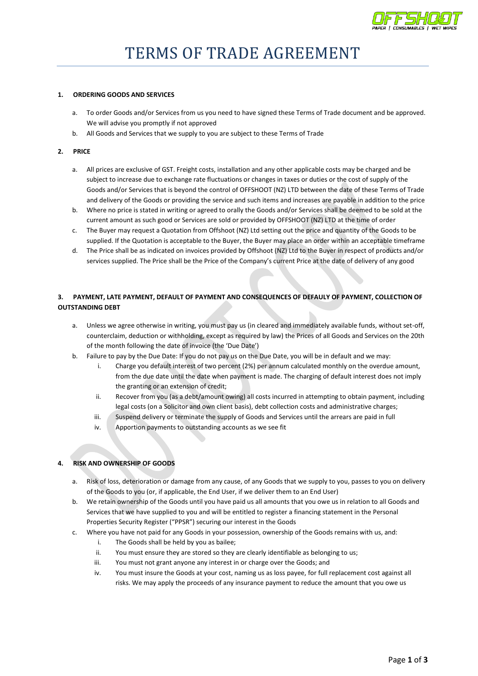

#### **1. ORDERING GOODS AND SERVICES**

- a. To order Goods and/or Services from us you need to have signed these Terms of Trade document and be approved. We will advise you promptly if not approved
- b. All Goods and Services that we supply to you are subject to these Terms of Trade

#### **2. PRICE**

- a. All prices are exclusive of GST. Freight costs, installation and any other applicable costs may be charged and be subject to increase due to exchange rate fluctuations or changes in taxes or duties or the cost of supply of the Goods and/or Services that is beyond the control of OFFSHOOT (NZ) LTD between the date of these Terms of Trade and delivery of the Goods or providing the service and such items and increases are payable in addition to the price
- b. Where no price is stated in writing or agreed to orally the Goods and/or Services shall be deemed to be sold at the current amount as such good or Services are sold or provided by OFFSHOOT (NZ) LTD at the time of order
- c. The Buyer may request a Quotation from Offshoot (NZ) Ltd setting out the price and quantity of the Goods to be supplied. If the Quotation is acceptable to the Buyer, the Buyer may place an order within an acceptable timeframe
- d. The Price shall be as indicated on invoices provided by Offshoot (NZ) Ltd to the Buyer in respect of products and/or services supplied. The Price shall be the Price of the Company's current Price at the date of delivery of any good

# **3. PAYMENT, LATE PAYMENT, DEFAULT OF PAYMENT AND CONSEQUENCES OF DEFAULY OF PAYMENT, COLLECTION OF OUTSTANDING DEBT**

- a. Unless we agree otherwise in writing, you must pay us (in cleared and immediately available funds, without set-off, counterclaim, deduction or withholding, except as required by law) the Prices of all Goods and Services on the 20th of the month following the date of invoice (the 'Due Date')
- b. Failure to pay by the Due Date: If you do not pay us on the Due Date, you will be in default and we may:
	- i. Charge you default interest of two percent (2%) per annum calculated monthly on the overdue amount, from the due date until the date when payment is made. The charging of default interest does not imply the granting or an extension of credit;
	- ii. Recover from you (as a debt/amount owing) all costs incurred in attempting to obtain payment, including legal costs (on a Solicitor and own client basis), debt collection costs and administrative charges;
	- iii. Suspend delivery or terminate the supply of Goods and Services until the arrears are paid in full
	- iv. Apportion payments to outstanding accounts as we see fit

## **4. RISK AND OWNERSHIP OF GOODS**

- a. Risk of loss, deterioration or damage from any cause, of any Goods that we supply to you, passes to you on delivery of the Goods to you (or, if applicable, the End User, if we deliver them to an End User)
- b. We retain ownership of the Goods until you have paid us all amounts that you owe us in relation to all Goods and Services that we have supplied to you and will be entitled to register a financing statement in the Personal Properties Security Register ("PPSR") securing our interest in the Goods
- c. Where you have not paid for any Goods in your possession, ownership of the Goods remains with us, and:
	- i. The Goods shall be held by you as bailee;
	- ii. You must ensure they are stored so they are clearly identifiable as belonging to us;
	- iii. You must not grant anyone any interest in or charge over the Goods; and
	- iv. You must insure the Goods at your cost, naming us as loss payee, for full replacement cost against all risks. We may apply the proceeds of any insurance payment to reduce the amount that you owe us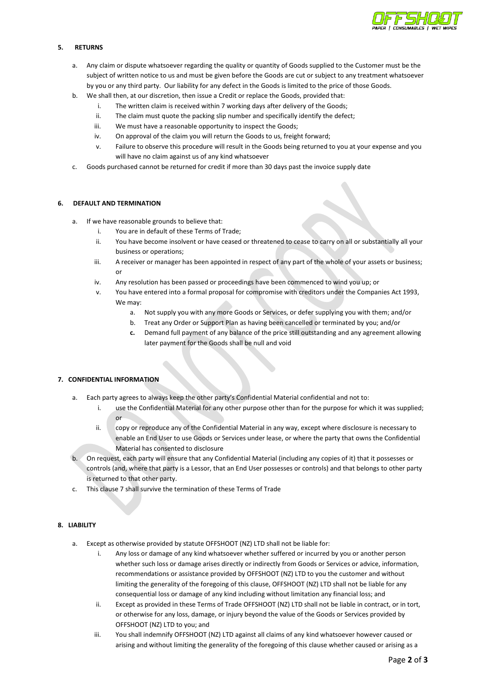

#### **5. RETURNS**

- a. Any claim or dispute whatsoever regarding the quality or quantity of Goods supplied to the Customer must be the subject of written notice to us and must be given before the Goods are cut or subject to any treatment whatsoever by you or any third party. Our liability for any defect in the Goods is limited to the price of those Goods.
- b. We shall then, at our discretion, then issue a Credit or replace the Goods, provided that:
	- i. The written claim is received within 7 working days after delivery of the Goods;
	- ii. The claim must quote the packing slip number and specifically identify the defect;
	- iii. We must have a reasonable opportunity to inspect the Goods;
	- iv. On approval of the claim you will return the Goods to us, freight forward;
	- v. Failure to observe this procedure will result in the Goods being returned to you at your expense and you will have no claim against us of any kind whatsoever
- c. Goods purchased cannot be returned for credit if more than 30 days past the invoice supply date

#### **6. DEFAULT AND TERMINATION**

- a. If we have reasonable grounds to believe that:
	- i. You are in default of these Terms of Trade;
	- ii. You have become insolvent or have ceased or threatened to cease to carry on all or substantially all your business or operations;
	- iii. A receiver or manager has been appointed in respect of any part of the whole of your assets or business; or
	- iv. Any resolution has been passed or proceedings have been commenced to wind you up; or
	- v. You have entered into a formal proposal for compromise with creditors under the Companies Act 1993, We may:
		- a. Not supply you with any more Goods or Services, or defer supplying you with them; and/or
		- b. Treat any Order or Support Plan as having been cancelled or terminated by you; and/or
		- **c.** Demand full payment of any balance of the price still outstanding and any agreement allowing later payment for the Goods shall be null and void

## **7. CONFIDENTIAL INFORMATION**

- a. Each party agrees to always keep the other party's Confidential Material confidential and not to:
	- i. use the Confidential Material for any other purpose other than for the purpose for which it was supplied; or
	- ii. copy or reproduce any of the Confidential Material in any way, except where disclosure is necessary to enable an End User to use Goods or Services under lease, or where the party that owns the Confidential Material has consented to disclosure
- b. On request, each party will ensure that any Confidential Material (including any copies of it) that it possesses or controls (and, where that party is a Lessor, that an End User possesses or controls) and that belongs to other party is returned to that other party.
- c. This clause 7 shall survive the termination of these Terms of Trade

### **8. LIABILITY**

- a. Except as otherwise provided by statute OFFSHOOT (NZ) LTD shall not be liable for:
	- i. Any loss or damage of any kind whatsoever whether suffered or incurred by you or another person whether such loss or damage arises directly or indirectly from Goods or Services or advice, information, recommendations or assistance provided by OFFSHOOT (NZ) LTD to you the customer and without limiting the generality of the foregoing of this clause, OFFSHOOT (NZ) LTD shall not be liable for any consequential loss or damage of any kind including without limitation any financial loss; and
	- ii. Except as provided in these Terms of Trade OFFSHOOT (NZ) LTD shall not be liable in contract, or in tort, or otherwise for any loss, damage, or injury beyond the value of the Goods or Services provided by OFFSHOOT (NZ) LTD to you; and
	- iii. You shall indemnify OFFSHOOT (NZ) LTD against all claims of any kind whatsoever however caused or arising and without limiting the generality of the foregoing of this clause whether caused or arising as a